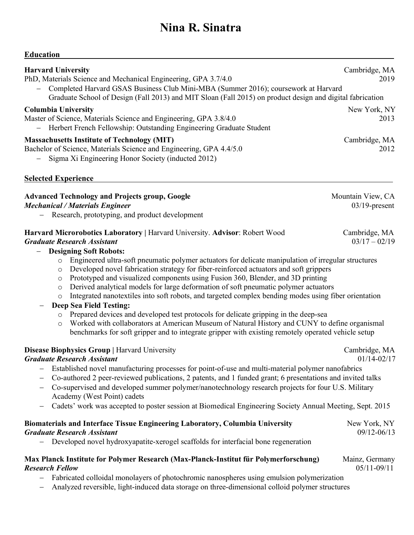# **Nina R. Sinatra**

### **Education .**

| <b>Harvard University</b><br>PhD, Materials Science and Mechanical Engineering, GPA 3.7/4.0<br>Completed Harvard GSAS Business Club Mini-MBA (Summer 2016); coursework at Harvard<br>Graduate School of Design (Fall 2013) and MIT Sloan (Fall 2015) on product design and digital fabrication                                                                                                                                                                                                                                                                                                                                                                                                                                                                                                                                                                                       | Cambridge, MA<br>2019                 |
|--------------------------------------------------------------------------------------------------------------------------------------------------------------------------------------------------------------------------------------------------------------------------------------------------------------------------------------------------------------------------------------------------------------------------------------------------------------------------------------------------------------------------------------------------------------------------------------------------------------------------------------------------------------------------------------------------------------------------------------------------------------------------------------------------------------------------------------------------------------------------------------|---------------------------------------|
| <b>Columbia University</b><br>Master of Science, Materials Science and Engineering, GPA 3.8/4.0<br>Herbert French Fellowship: Outstanding Engineering Graduate Student                                                                                                                                                                                                                                                                                                                                                                                                                                                                                                                                                                                                                                                                                                               | New York, NY<br>2013                  |
| <b>Massachusetts Institute of Technology (MIT)</b><br>Bachelor of Science, Materials Science and Engineering, GPA 4.4/5.0<br>Sigma Xi Engineering Honor Society (inducted 2012)                                                                                                                                                                                                                                                                                                                                                                                                                                                                                                                                                                                                                                                                                                      | Cambridge, MA<br>2012                 |
| <b>Selected Experience</b>                                                                                                                                                                                                                                                                                                                                                                                                                                                                                                                                                                                                                                                                                                                                                                                                                                                           |                                       |
| <b>Advanced Technology and Projects group, Google</b><br><b>Mechanical / Materials Engineer</b><br>Research, prototyping, and product development                                                                                                                                                                                                                                                                                                                                                                                                                                                                                                                                                                                                                                                                                                                                    | Mountain View, CA<br>$03/19$ -present |
| Harvard Microrobotics Laboratory   Harvard University. Advisor: Robert Wood<br><b>Graduate Research Assistant</b><br><b>Designing Soft Robots:</b>                                                                                                                                                                                                                                                                                                                                                                                                                                                                                                                                                                                                                                                                                                                                   | Cambridge, MA<br>$03/17 - 02/19$      |
| Engineered ultra-soft pneumatic polymer actuators for delicate manipulation of irregular structures<br>$\circ$<br>Developed novel fabrication strategy for fiber-reinforced actuators and soft grippers<br>$\circ$<br>Prototyped and visualized components using Fusion 360, Blender, and 3D printing<br>$\circ$<br>Derived analytical models for large deformation of soft pneumatic polymer actuators<br>$\circ$<br>Integrated nanotextiles into soft robots, and targeted complex bending modes using fiber orientation<br>$\circ$<br>Deep Sea Field Testing:<br>Prepared devices and developed test protocols for delicate gripping in the deep-sea<br>$\circ$<br>Worked with collaborators at American Museum of Natural History and CUNY to define organismal<br>$\circ$<br>benchmarks for soft gripper and to integrate gripper with existing remotely operated vehicle setup |                                       |
| <b>Disease Biophysics Group   Harvard University</b><br><b>Graduate Research Assistant</b><br>Established novel manufacturing processes for point-of-use and multi-material polymer nanofabrics<br>Co-authored 2 peer-reviewed publications, 2 patents, and 1 funded grant; 6 presentations and invited talks<br>Co-supervised and developed summer polymer/nanotechnology research projects for four U.S. Military<br>Academy (West Point) cadets<br>Cadets' work was accepted to poster session at Biomedical Engineering Society Annual Meeting, Sept. 2015                                                                                                                                                                                                                                                                                                                       | Cambridge, MA<br>$01/14 - 02/17$      |
| Biomaterials and Interface Tissue Engineering Laboratory, Columbia University<br><b>Graduate Research Assistant</b><br>Developed novel hydroxyapatite-xerogel scaffolds for interfacial bone regeneration                                                                                                                                                                                                                                                                                                                                                                                                                                                                                                                                                                                                                                                                            | New York, NY<br>09/12-06/13           |
| Max Planck Institute for Polymer Research (Max-Planck-Institut für Polymerforschung)<br><b>Research Fellow</b><br>Fabricated colloidal monolayers of photochromic nanospheres using emulsion polymerization<br>Analyzed reversible, light-induced data storage on three-dimensional colloid polymer structures                                                                                                                                                                                                                                                                                                                                                                                                                                                                                                                                                                       | Mainz, Germany<br>$05/11 - 09/11$     |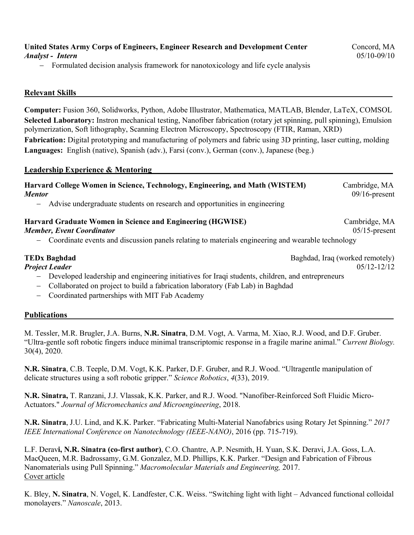## United States Army Corps of Engineers, Engineer Research and Development Center Concord, MA *Analyst - Intern* 05/10-09/10

- Formulated decision analysis framework for nanotoxicology and life cycle analysis

## **Relevant Skills .**

**Computer:** Fusion 360, Solidworks, Python, Adobe Illustrator, Mathematica, MATLAB, Blender, LaTeX, COMSOL **Selected Laboratory:** Instron mechanical testing, Nanofiber fabrication (rotary jet spinning, pull spinning), Emulsion polymerization, Soft lithography, Scanning Electron Microscopy, Spectroscopy (FTIR, Raman, XRD) **Fabrication:** Digital prototyping and manufacturing of polymers and fabric using 3D printing, laser cutting, molding **Languages:** English (native), Spanish (adv.), Farsi (conv.), German (conv.), Japanese (beg.)

#### **Leadership Experience & Mentoring .**

**Harvard College Women in Science, Technology, Engineering, and Math (WISTEM)** Cambridge, MA *Mentor* 09/16-present - Advise undergraduate students on research and opportunities in engineering

#### **Harvard Graduate Women in Science and Engineering (HGWISE)** Cambridge, MA *Member, Event Coordinator* 05/15-present

- Coordinate events and discussion panels relating to materials engineering and wearable technology

# **TEDx Baghdad Baghdad Baghdad**, Iraq (worked remotely) *Project Leader*05/12-12/12 - Developed leadership and engineering initiatives for Iraqi students, children, and entrepreneurs - Collaborated on project to build a fabrication laboratory (Fab Lab) in Baghdad - Coordinated partnerships with MIT Fab Academy

#### **Publications .**

M. Tessler, M.R. Brugler, J.A. Burns, **N.R. Sinatra**, D.M. Vogt, A. Varma, M. Xiao, R.J. Wood, and D.F. Gruber. "Ultra-gentle soft robotic fingers induce minimal transcriptomic response in a fragile marine animal." *Current Biology.* 30(4), 2020.

**N.R. Sinatra**, C.B. Teeple, D.M. Vogt, K.K. Parker, D.F. Gruber, and R.J. Wood. "Ultragentle manipulation of delicate structures using a soft robotic gripper." *Science Robotics*, *4*(33), 2019.

**N.R. Sinatra,** T. Ranzani, J.J. Vlassak, K.K. Parker, and R.J. Wood. "Nanofiber-Reinforced Soft Fluidic Micro-Actuators." *Journal of Micromechanics and Microengineering*, 2018.

**N.R. Sinatra**, J.U. Lind, and K.K. Parker. "Fabricating Multi-Material Nanofabrics using Rotary Jet Spinning." *2017 IEEE International Conference on Nanotechnology (IEEE-NANO)*, 2016 (pp. 715-719).

L.F. Derav**i, N.R. Sinatra (co-first author)**, C.O. Chantre, A.P. Nesmith, H. Yuan, S.K. Deravi, J.A. Goss, L.A. MacQueen, M.R. Badrossamy, G.M. Gonzalez, M.D. Phillips, K.K. Parker. "Design and Fabrication of Fibrous Nanomaterials using Pull Spinning." *Macromolecular Materials and Engineering,* 2017. Cover article

K. Bley, **N. Sinatra**, N. Vogel, K. Landfester, C.K. Weiss. "Switching light with light – Advanced functional colloidal monolayers." *Nanoscale*, 2013.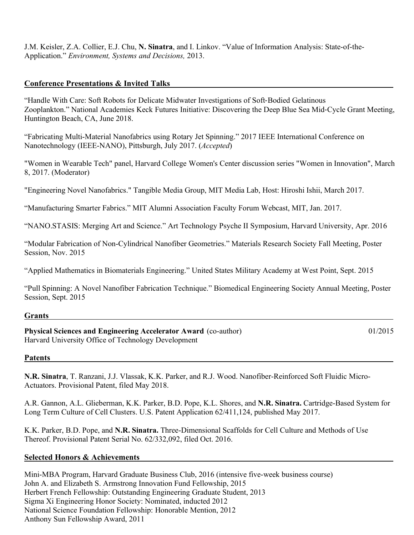J.M. Keisler, Z.A. Collier, E.J. Chu, **N. Sinatra**, and I. Linkov. "Value of Information Analysis: State-of-the-Application." *Environment, Systems and Decisions,* 2013.

#### **Conference Presentations & Invited Talks .**

"Handle With Care: Soft Robots for Delicate Midwater Investigations of Soft-Bodied Gelatinous Zooplankton." National Academies Keck Futures Initiative: Discovering the Deep Blue Sea Mid-Cycle Grant Meeting, Huntington Beach, CA, June 2018.

"Fabricating Multi-Material Nanofabrics using Rotary Jet Spinning." 2017 IEEE International Conference on Nanotechnology (IEEE-NANO), Pittsburgh, July 2017. (*Accepted*)

"Women in Wearable Tech" panel, Harvard College Women's Center discussion series "Women in Innovation", March 8, 2017. (Moderator)

"Engineering Novel Nanofabrics." Tangible Media Group, MIT Media Lab, Host: Hiroshi Ishii, March 2017.

"Manufacturing Smarter Fabrics." MIT Alumni Association Faculty Forum Webcast, MIT, Jan. 2017.

"NANO.STASIS: Merging Art and Science." Art Technology Psyche II Symposium, Harvard University, Apr. 2016

"Modular Fabrication of Non-Cylindrical Nanofiber Geometries." Materials Research Society Fall Meeting, Poster Session, Nov. 2015

"Applied Mathematics in Biomaterials Engineering." United States Military Academy at West Point, Sept. 2015

"Pull Spinning: A Novel Nanofiber Fabrication Technique." Biomedical Engineering Society Annual Meeting, Poster Session, Sept. 2015

#### **Grants** . *Grants* . *Construction in the construction of the construction in the construction of the construction in the construction of the construction of the construction of the construction of the construction of*

**Physical Sciences and Engineering Accelerator Award** (co-author)01/2015 Harvard University Office of Technology Development

#### **Patents** . *Patents* . *Patents* . *Patents* . *Patents* **.** *<b>Patents* . *Patents* . *Patents* . *Patents* . *Patents* . *Patents* . *Patents* . *Patents* . *Patents* . *Patents* . *Patents* .

**N.R. Sinatra**, T. Ranzani, J.J. Vlassak, K.K. Parker, and R.J. Wood. Nanofiber-Reinforced Soft Fluidic Micro-Actuators. Provisional Patent, filed May 2018.

A.R. Gannon, A.L. Glieberman, K.K. Parker, B.D. Pope, K.L. Shores, and **N.R. Sinatra.** Cartridge-Based System for Long Term Culture of Cell Clusters. U.S. Patent Application 62/411,124, published May 2017.

K.K. Parker, B.D. Pope, and **N.R. Sinatra.** Three-Dimensional Scaffolds for Cell Culture and Methods of Use Thereof. Provisional Patent Serial No. 62/332,092, filed Oct. 2016.

#### **Selected Honors & Achievements .**

Mini-MBA Program, Harvard Graduate Business Club, 2016 (intensive five-week business course) John A. and Elizabeth S. Armstrong Innovation Fund Fellowship, 2015 Herbert French Fellowship: Outstanding Engineering Graduate Student, 2013 Sigma Xi Engineering Honor Society: Nominated, inducted 2012 National Science Foundation Fellowship: Honorable Mention, 2012 Anthony Sun Fellowship Award, 2011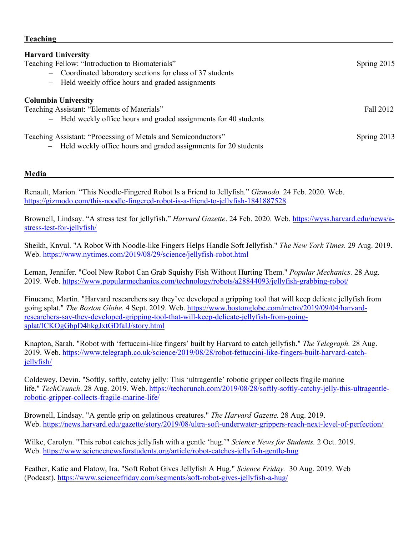#### **Teaching .**

| <b>Harvard University</b><br>Teaching Fellow: "Introduction to Biomaterials"<br>- Coordinated laboratory sections for class of 37 students<br>- Held weekly office hours and graded assignments | Spring $2015$ |
|-------------------------------------------------------------------------------------------------------------------------------------------------------------------------------------------------|---------------|
| <b>Columbia University</b><br>Teaching Assistant: "Elements of Materials"<br>- Held weekly office hours and graded assignments for 40 students                                                  | Fall 2012     |
| Teaching Assistant: "Processing of Metals and Semiconductors"<br>Held weekly office hours and graded assignments for 20 students<br>$-$                                                         | Spring $2013$ |

#### **Media .**

Renault, Marion. "This Noodle-Fingered Robot Is a Friend to Jellyfish." *Gizmodo.* 24 Feb. 2020. Web. https://gizmodo.com/this-noodle-fingered-robot-is-a-friend-to-jellyfish-1841887528

Brownell, Lindsay. "A stress test for jellyfish." *Harvard Gazette*. 24 Feb. 2020. Web. https://wyss.harvard.edu/news/astress-test-for-jellyfish/

Sheikh, Knvul. "A Robot With Noodle-like Fingers Helps Handle Soft Jellyfish." *The New York Times.* 29 Aug. 2019. Web. https://www.nytimes.com/2019/08/29/science/jellyfish-robot.html

Leman, Jennifer. "Cool New Robot Can Grab Squishy Fish Without Hurting Them." *Popular Mechanics.* 28 Aug. 2019. Web. https://www.popularmechanics.com/technology/robots/a28844093/jellyfish-grabbing-robot/

Finucane, Martin. "Harvard researchers say they've developed a gripping tool that will keep delicate jellyfish from going splat." *The Boston Globe.* 4 Sept. 2019. Web. https://www.bostonglobe.com/metro/2019/09/04/harvardresearchers-say-they-developed-gripping-tool-that-will-keep-delicate-jellyfish-from-goingsplat/ICKOgGbpD4hkgJxtGDfaIJ/story.html

Knapton, Sarah. "Robot with 'fettuccini-like fingers' built by Harvard to catch jellyfish." *The Telegraph.* 28 Aug. 2019. Web. https://www.telegraph.co.uk/science/2019/08/28/robot-fettuccini-like-fingers-built-harvard-catchjellyfish/

Coldewey, Devin. "Softly, softly, catchy jelly: This 'ultragentle' robotic gripper collects fragile marine life." *TechCrunch*. 28 Aug. 2019. Web. https://techcrunch.com/2019/08/28/softly-softly-catchy-jelly-this-ultragentlerobotic-gripper-collects-fragile-marine-life/

Brownell, Lindsay. "A gentle grip on gelatinous creatures." *The Harvard Gazette.* 28 Aug. 2019. Web. https://news.harvard.edu/gazette/story/2019/08/ultra-soft-underwater-grippers-reach-next-level-of-perfection/

Wilke, Carolyn. "This robot catches jellyfish with a gentle 'hug.'" *Science News for Students.* 2 Oct. 2019. Web. https://www.sciencenewsforstudents.org/article/robot-catches-jellyfish-gentle-hug

Feather, Katie and Flatow, Ira. "Soft Robot Gives Jellyfish A Hug." *Science Friday.* 30 Aug. 2019. Web (Podcast). https://www.sciencefriday.com/segments/soft-robot-gives-jellyfish-a-hug/